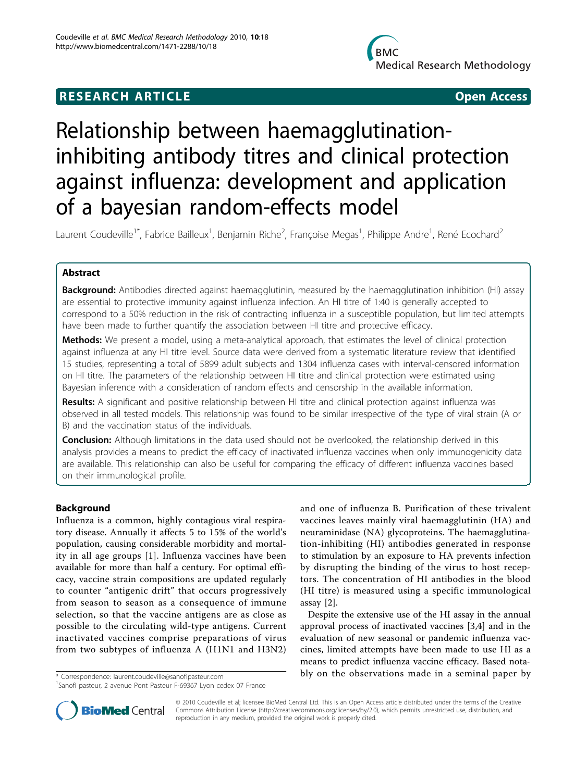# **RESEARCH ARTICLE Example 2018 12:00 Department of the Contract Open Access**

# Relationship between haemagglutinationinhibiting antibody titres and clinical protection against influenza: development and application of a bayesian random-effects model

Laurent Coudeville<sup>1\*</sup>, Fabrice Bailleux<sup>1</sup>, Benjamin Riche<sup>2</sup>, Françoise Megas<sup>1</sup>, Philippe Andre<sup>1</sup>, René Ecochard<sup>2</sup>

# Abstract

**Background:** Antibodies directed against haemagglutinin, measured by the haemagglutination inhibition (HI) assay are essential to protective immunity against influenza infection. An HI titre of 1:40 is generally accepted to correspond to a 50% reduction in the risk of contracting influenza in a susceptible population, but limited attempts have been made to further quantify the association between HI titre and protective efficacy.

**Methods:** We present a model, using a meta-analytical approach, that estimates the level of clinical protection against influenza at any HI titre level. Source data were derived from a systematic literature review that identified 15 studies, representing a total of 5899 adult subjects and 1304 influenza cases with interval-censored information on HI titre. The parameters of the relationship between HI titre and clinical protection were estimated using Bayesian inference with a consideration of random effects and censorship in the available information.

Results: A significant and positive relationship between HI titre and clinical protection against influenza was observed in all tested models. This relationship was found to be similar irrespective of the type of viral strain (A or B) and the vaccination status of the individuals.

Conclusion: Although limitations in the data used should not be overlooked, the relationship derived in this analysis provides a means to predict the efficacy of inactivated influenza vaccines when only immunogenicity data are available. This relationship can also be useful for comparing the efficacy of different influenza vaccines based on their immunological profile.

# Background

Influenza is a common, highly contagious viral respiratory disease. Annually it affects 5 to 15% of the world's population, causing considerable morbidity and mortality in all age groups [[1\]](#page-9-0). Influenza vaccines have been available for more than half a century. For optimal efficacy, vaccine strain compositions are updated regularly to counter "antigenic drift" that occurs progressively from season to season as a consequence of immune selection, so that the vaccine antigens are as close as possible to the circulating wild-type antigens. Current inactivated vaccines comprise preparations of virus from two subtypes of influenza A (H1N1 and H3N2)

and one of influenza B. Purification of these trivalent vaccines leaves mainly viral haemagglutinin (HA) and neuraminidase (NA) glycoproteins. The haemagglutination-inhibiting (HI) antibodies generated in response to stimulation by an exposure to HA prevents infection by disrupting the binding of the virus to host receptors. The concentration of HI antibodies in the blood (HI titre) is measured using a specific immunological assay [[2](#page-9-0)].

Despite the extensive use of the HI assay in the annual approval process of inactivated vaccines [\[3,4](#page-9-0)] and in the evaluation of new seasonal or pandemic influenza vaccines, limited attempts have been made to use HI as a means to predict influenza vaccine efficacy. Based nota\* Correspondence: [laurent.coudeville@sanofipasteur.com](mailto:laurent.coudeville@sanofipasteur.com) bly on the observations made in a seminal paper by



© 2010 Coudeville et al; licensee BioMed Central Ltd. This is an Open Access article distributed under the terms of the Creative Commons Attribution License [\(http://creativecommons.org/licenses/by/2.0](http://creativecommons.org/licenses/by/2.0)), which permits unrestricted use, distribution, and reproduction in any medium, provided the original work is properly cited.

<sup>&</sup>lt;sup>1</sup>Sanofi pasteur, 2 avenue Pont Pasteur F-69367 Lyon cedex 07 France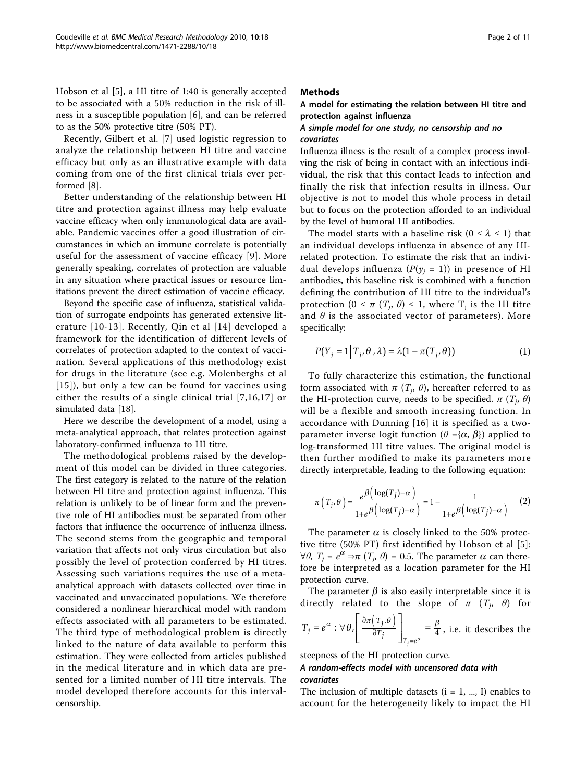Hobson et al [[5\]](#page-9-0), a HI titre of 1:40 is generally accepted to be associated with a 50% reduction in the risk of illness in a susceptible population [[6\]](#page-9-0), and can be referred to as the 50% protective titre (50% PT).

Recently, Gilbert et al. [\[7](#page-9-0)] used logistic regression to analyze the relationship between HI titre and vaccine efficacy but only as an illustrative example with data coming from one of the first clinical trials ever performed [\[8](#page-9-0)].

Better understanding of the relationship between HI titre and protection against illness may help evaluate vaccine efficacy when only immunological data are available. Pandemic vaccines offer a good illustration of circumstances in which an immune correlate is potentially useful for the assessment of vaccine efficacy [[9\]](#page-9-0). More generally speaking, correlates of protection are valuable in any situation where practical issues or resource limitations prevent the direct estimation of vaccine efficacy.

Beyond the specific case of influenza, statistical validation of surrogate endpoints has generated extensive literature [[10-13](#page-9-0)]. Recently, Qin et al [[14](#page-9-0)] developed a framework for the identification of different levels of correlates of protection adapted to the context of vaccination. Several applications of this methodology exist for drugs in the literature (see e.g. Molenberghs et al [[15\]](#page-9-0)), but only a few can be found for vaccines using either the results of a single clinical trial [[7,16,17](#page-9-0)] or simulated data [[18\]](#page-9-0).

Here we describe the development of a model, using a meta-analytical approach, that relates protection against laboratory-confirmed influenza to HI titre.

The methodological problems raised by the development of this model can be divided in three categories. The first category is related to the nature of the relation between HI titre and protection against influenza. This relation is unlikely to be of linear form and the preventive role of HI antibodies must be separated from other factors that influence the occurrence of influenza illness. The second stems from the geographic and temporal variation that affects not only virus circulation but also possibly the level of protection conferred by HI titres. Assessing such variations requires the use of a metaanalytical approach with datasets collected over time in vaccinated and unvaccinated populations. We therefore considered a nonlinear hierarchical model with random effects associated with all parameters to be estimated. The third type of methodological problem is directly linked to the nature of data available to perform this estimation. They were collected from articles published in the medical literature and in which data are presented for a limited number of HI titre intervals. The model developed therefore accounts for this intervalcensorship.

### Methods

# A model for estimating the relation between HI titre and protection against influenza

## A simple model for one study, no censorship and no covariates

Influenza illness is the result of a complex process involving the risk of being in contact with an infectious individual, the risk that this contact leads to infection and finally the risk that infection results in illness. Our objective is not to model this whole process in detail but to focus on the protection afforded to an individual by the level of humoral HI antibodies.

The model starts with a baseline risk  $(0 \le \lambda \le 1)$  that an individual develops influenza in absence of any HIrelated protection. To estimate the risk that an individual develops influenza ( $P(y_j = 1)$ ) in presence of HI antibodies, this baseline risk is combined with a function defining the contribution of HI titre to the individual's protection ( $0 \leq \pi$  ( $T_j$ ,  $\theta$ )  $\leq$  1, where  $T_j$  is the HI titre and  $\theta$  is the associated vector of parameters). More specifically:

$$
P(Y_j = 1 | T_j, \theta, \lambda) = \lambda (1 - \pi(T_j, \theta))
$$
\n(1)

To fully characterize this estimation, the functional form associated with  $\pi$  ( $T_i$ ,  $\theta$ ), hereafter referred to as the HI-protection curve, needs to be specified.  $\pi$  (T<sub>i</sub>,  $\theta$ ) will be a flexible and smooth increasing function. In accordance with Dunning [[16](#page-9-0)] it is specified as a twoparameter inverse logit function ( $\theta = {\alpha, \beta}$ ) applied to log-transformed HI titre values. The original model is then further modified to make its parameters more directly interpretable, leading to the following equation:

$$
\pi(T_j, \theta) = \frac{e^{\beta \left( \log(T_j) - \alpha \right)}}{1 + e^{\beta \left( \log(T_j) - \alpha \right)}} = 1 - \frac{1}{1 + e^{\beta \left( \log(T_j) - \alpha \right)}} \tag{2}
$$

The parameter  $\alpha$  is closely linked to the 50% protective titre (50% PT) first identified by Hobson et al [[5](#page-9-0)]:  $\forall \theta$ ,  $T_j = e^{\alpha} \Rightarrow \pi (T_j, \theta) = 0.5$ . The parameter  $\alpha$  can therefore be interpreted as a location parameter for the HI protection curve.

The parameter  $\beta$  is also easily interpretable since it is directly related to the slope of  $\pi$  ( $T_j$ ,  $\theta$ ) for

$$
T_j = e^{\alpha} : \forall \theta, \left[\frac{\partial \pi (T_j, \theta)}{\partial T_j}\right]_{T_j = e^{\alpha}} = \frac{\beta}{4}, \text{ i.e. it describes the}
$$

steepness of the HI protection curve.

# A random-effects model with uncensored data with covariates

The inclusion of multiple datasets  $(i = 1, ..., I)$  enables to account for the heterogeneity likely to impact the HI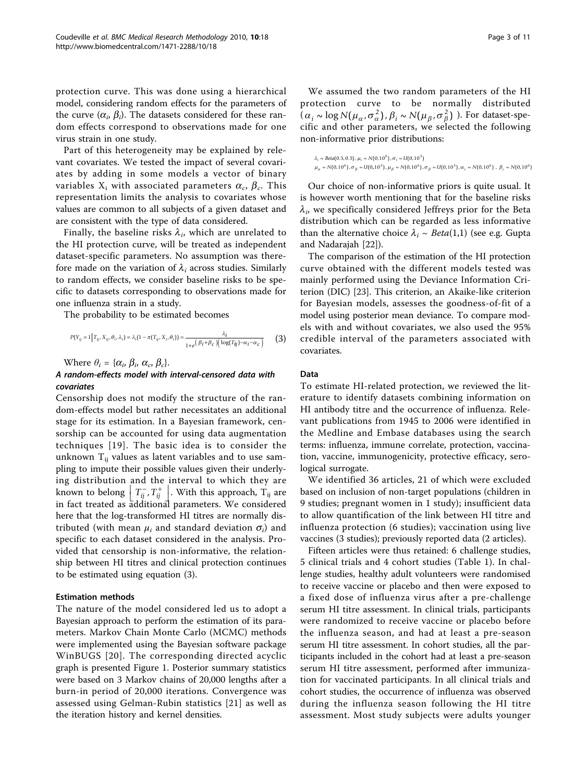protection curve. This was done using a hierarchical model, considering random effects for the parameters of the curve  $(\alpha_i, \beta_i)$ . The datasets considered for these random effects correspond to observations made for one virus strain in one study.

Part of this heterogeneity may be explained by relevant covariates. We tested the impact of several covariates by adding in some models a vector of binary variables  $X_i$  with associated parameters  $\alpha_c$ ,  $\beta_c$ . This representation limits the analysis to covariates whose values are common to all subjects of a given dataset and are consistent with the type of data considered.

Finally, the baseline risks  $\lambda_i$ , which are unrelated to the HI protection curve, will be treated as independent dataset-specific parameters. No assumption was therefore made on the variation of  $\lambda_i$  across studies. Similarly to random effects, we consider baseline risks to be specific to datasets corresponding to observations made for one influenza strain in a study.

The probability to be estimated becomes

$$
P(Y_{ij}=1 \Big| T_{ij}, X_{ij}, \theta_i, \lambda_i) = \lambda_i (1-\pi(T_{ij},X_i,\theta_i)) = \frac{\lambda_i}{1+e^{\left(\beta_i + \beta_C\right)}\left(\log(T_{ij}) - \alpha_i - \alpha_C\right)} \qquad \textbf{(3)}
$$

Where  $\theta_i = {\alpha_i, \beta_i, \alpha_c, \beta_c}.$ 

# A random-effects model with interval-censored data with covariates

Censorship does not modify the structure of the random-effects model but rather necessitates an additional stage for its estimation. In a Bayesian framework, censorship can be accounted for using data augmentation techniques [[19](#page-9-0)]. The basic idea is to consider the unknown  $T_{ii}$  values as latent variables and to use sampling to impute their possible values given their underlying distribution and the interval to which they are known to belong  $\left[ T_{ij}^-, T_{ij}^+ \right]$ . With this approach,  $T_{ij}$  are in fact treated as additional parameters. We considered here that the log-transformed HI titres are normally distributed (with mean  $\mu_i$  and standard deviation  $\sigma_i$ ) and specific to each dataset considered in the analysis. Provided that censorship is non-informative, the relationship between HI titres and clinical protection continues to be estimated using equation (3).

#### Estimation methods

The nature of the model considered led us to adopt a Bayesian approach to perform the estimation of its parameters. Markov Chain Monte Carlo (MCMC) methods were implemented using the Bayesian software package WinBUGS [[20\]](#page-9-0). The corresponding directed acyclic graph is presented Figure [1](#page-3-0). Posterior summary statistics were based on 3 Markov chains of 20,000 lengths after a burn-in period of 20,000 iterations. Convergence was assessed using Gelman-Rubin statistics [[21](#page-9-0)] as well as the iteration history and kernel densities.

We assumed the two random parameters of the HI protection curve to be normally distributed  $(\alpha_i \sim \log N(\mu_\alpha, \sigma_\alpha^2), \beta_i \sim N(\mu_\beta, \sigma_\beta^2))$ . For dataset-specific and other parameters, we selected the following non-informative prior distributions:

 $\lambda_i \sim Beta(0.5, 0.5), \mu_i \sim N(0, 10^6), \sigma_i \sim U(0, 10^3)$  $\mu_{\alpha}\sim N\big(0, 10^6\big)\,, \sigma_{\beta}\sim U\big(0, 10^3\big)\,, \mu_{\beta}\sim N\big(0, 10^6\big)\,, \sigma_{\beta}\sim U\big(0, 10^3\big)\,, \alpha_{c}\sim N\big(0, 10^6\big)\,, \,\beta_{c}\sim N\big(0, 10^6\big)$ 

Our choice of non-informative priors is quite usual. It is however worth mentioning that for the baseline risks  $\lambda_i$ , we specifically considered Jeffreys prior for the Beta distribution which can be regarded as less informative than the alternative choice  $\lambda_i \sim Beta(1,1)$  (see e.g. Gupta and Nadarajah [[22\]](#page-10-0)).

The comparison of the estimation of the HI protection curve obtained with the different models tested was mainly performed using the Deviance Information Criterion (DIC) [[23\]](#page-10-0). This criterion, an Akaike-like criterion for Bayesian models, assesses the goodness-of-fit of a model using posterior mean deviance. To compare models with and without covariates, we also used the 95% credible interval of the parameters associated with covariates.

#### Data

To estimate HI-related protection, we reviewed the literature to identify datasets combining information on HI antibody titre and the occurrence of influenza. Relevant publications from 1945 to 2006 were identified in the Medline and Embase databases using the search terms: influenza, immune correlate, protection, vaccination, vaccine, immunogenicity, protective efficacy, serological surrogate.

We identified 36 articles, 21 of which were excluded based on inclusion of non-target populations (children in 9 studies; pregnant women in 1 study); insufficient data to allow quantification of the link between HI titre and influenza protection (6 studies); vaccination using live vaccines (3 studies); previously reported data (2 articles).

Fifteen articles were thus retained: 6 challenge studies, 5 clinical trials and 4 cohort studies (Table [1\)](#page-4-0). In challenge studies, healthy adult volunteers were randomised to receive vaccine or placebo and then were exposed to a fixed dose of influenza virus after a pre-challenge serum HI titre assessment. In clinical trials, participants were randomized to receive vaccine or placebo before the influenza season, and had at least a pre-season serum HI titre assessment. In cohort studies, all the participants included in the cohort had at least a pre-season serum HI titre assessment, performed after immunization for vaccinated participants. In all clinical trials and cohort studies, the occurrence of influenza was observed during the influenza season following the HI titre assessment. Most study subjects were adults younger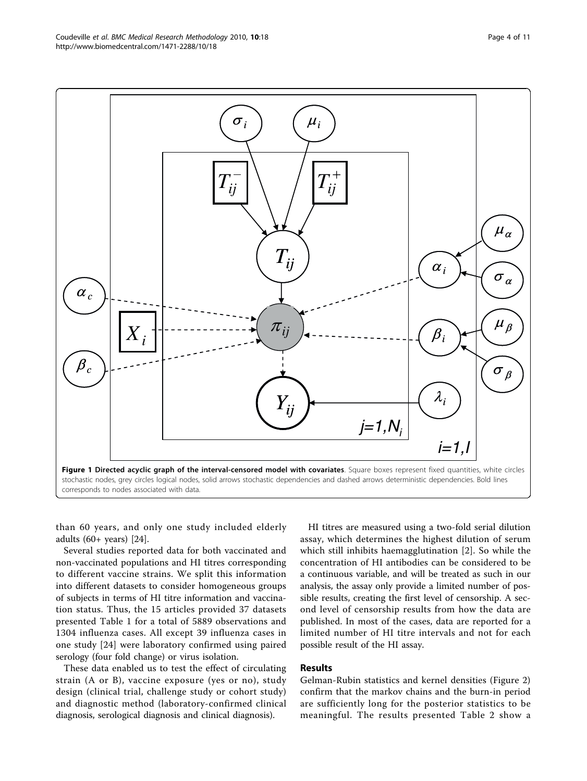<span id="page-3-0"></span>

than 60 years, and only one study included elderly adults (60+ years) [\[24\]](#page-10-0).

Several studies reported data for both vaccinated and non-vaccinated populations and HI titres corresponding to different vaccine strains. We split this information into different datasets to consider homogeneous groups of subjects in terms of HI titre information and vaccination status. Thus, the 15 articles provided 37 datasets presented Table [1](#page-4-0) for a total of 5889 observations and 1304 influenza cases. All except 39 influenza cases in one study [[24](#page-10-0)] were laboratory confirmed using paired serology (four fold change) or virus isolation.

These data enabled us to test the effect of circulating strain (A or B), vaccine exposure (yes or no), study design (clinical trial, challenge study or cohort study) and diagnostic method (laboratory-confirmed clinical diagnosis, serological diagnosis and clinical diagnosis).

HI titres are measured using a two-fold serial dilution assay, which determines the highest dilution of serum which still inhibits haemagglutination [[2\]](#page-9-0). So while the concentration of HI antibodies can be considered to be a continuous variable, and will be treated as such in our analysis, the assay only provide a limited number of possible results, creating the first level of censorship. A second level of censorship results from how the data are published. In most of the cases, data are reported for a limited number of HI titre intervals and not for each possible result of the HI assay.

### Results

Gelman-Rubin statistics and kernel densities (Figure [2](#page-5-0)) confirm that the markov chains and the burn-in period are sufficiently long for the posterior statistics to be meaningful. The results presented Table [2](#page-6-0) show a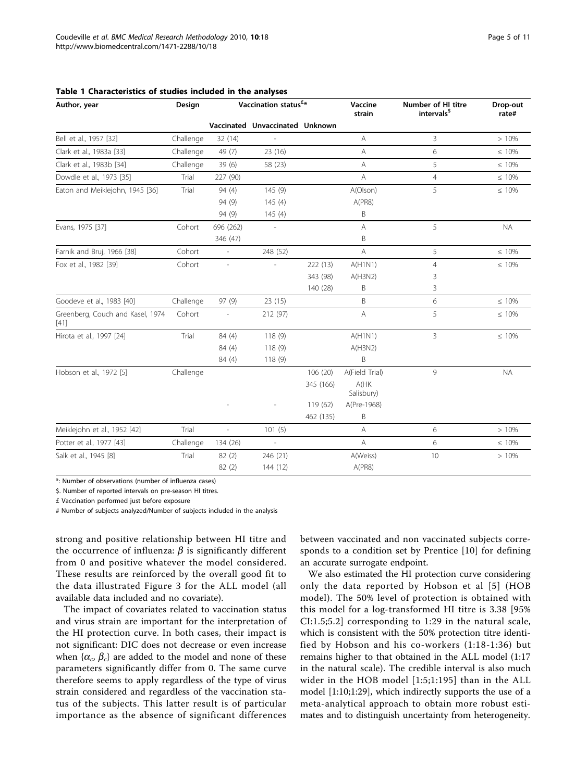| Author, year                               | Design    | Vaccination status <sup>£*</sup> |                                 | Vaccine<br>strain                             | Number of HI titre<br>intervals <sup>\$</sup>             | Drop-out<br>rate#        |             |
|--------------------------------------------|-----------|----------------------------------|---------------------------------|-----------------------------------------------|-----------------------------------------------------------|--------------------------|-------------|
|                                            |           |                                  | Vaccinated Unvaccinated Unknown |                                               |                                                           |                          |             |
| Bell et al., 1957 [32]                     | Challenge | 32 (14)                          |                                 |                                               | Α                                                         | 3                        | >10%        |
| Clark et al., 1983a [33]                   | Challenge | 49 (7)                           | 23 (16)                         |                                               | Α                                                         | 6                        | $\leq 10\%$ |
| Clark et al., 1983b [34]                   | Challenge | 39(6)                            | 58 (23)                         |                                               | Α                                                         | 5                        | $\leq 10\%$ |
| Dowdle et al., 1973 [35]                   | Trial     | 227 (90)                         |                                 |                                               | Α                                                         | $\overline{4}$           | $\leq 10\%$ |
| Eaton and Meiklejohn, 1945 [36]            | Trial     | 94 (4)<br>94 (9)<br>94 (9)       | 145(9)<br>145(4)<br>145(4)      |                                               | A(Olson)<br>A(PR8)<br>B                                   | 5                        | $\leq 10\%$ |
| Evans, 1975 [37]                           | Cohort    | 696 (262)<br>346 (47)            |                                 |                                               | Α<br>B                                                    | 5                        | <b>NA</b>   |
| Farnik and Bruj, 1966 [38]                 | Cohort    | $\overline{\phantom{a}}$         | 248 (52)                        |                                               | A                                                         | 5                        | $\leq 10\%$ |
| Fox et al., 1982 [39]                      | Cohort    | $\overline{\phantom{a}}$         | $\overline{\phantom{a}}$        | 222 (13)<br>343 (98)<br>140 (28)              | A(H1N1)<br>A(H3N2)<br>B                                   | $\overline{4}$<br>3<br>3 | $\leq 10\%$ |
| Goodeve et al., 1983 [40]                  | Challenge | 97 (9)                           | 23(15)                          |                                               | B                                                         | 6                        | $\leq 10\%$ |
| Greenberg, Couch and Kasel, 1974<br>$[41]$ | Cohort    | $\overline{\phantom{a}}$         | 212 (97)                        |                                               | Α                                                         | 5                        | $\leq 10\%$ |
| Hirota et al., 1997 [24]                   | Trial     | 84 (4)<br>84 (4)<br>84 (4)       | 118(9)<br>118(9)<br>118(9)      |                                               | A(H1N1)<br>A(H3N2)<br>B                                   | 3                        | $\leq 10\%$ |
| Hobson et al., 1972 [5]                    | Challenge |                                  | $\overline{a}$                  | 106 (20)<br>345 (166)<br>119(62)<br>462 (135) | A(Field Trial)<br>A(HK)<br>Salisbury)<br>A(Pre-1968)<br>B | $\circ$                  | <b>NA</b>   |
| Meiklejohn et al., 1952 [42]               | Trial     | $\overline{\phantom{a}}$         | 101(5)                          |                                               | Α                                                         | 6                        | >10%        |
| Potter et al., 1977 [43]                   | Challenge | 134 (26)                         | $\overline{\phantom{a}}$        |                                               | Α                                                         | 6                        | $\leq 10\%$ |
| Salk et al., 1945 [8]                      | Trial     | 82(2)<br>82(2)                   | 246 (21)<br>144 (12)            |                                               | A(Weiss)<br>A(PR8)                                        | 10                       | >10%        |

#### <span id="page-4-0"></span>Table 1 Characteristics of studies included in the analyses

\*: Number of observations (number of influenza cases)

\$. Number of reported intervals on pre-season HI titres.

£ Vaccination performed just before exposure

# Number of subjects analyzed/Number of subjects included in the analysis

strong and positive relationship between HI titre and the occurrence of influenza:  $\beta$  is significantly different from 0 and positive whatever the model considered. These results are reinforced by the overall good fit to the data illustrated Figure [3](#page-6-0) for the ALL model (all available data included and no covariate).

The impact of covariates related to vaccination status and virus strain are important for the interpretation of the HI protection curve. In both cases, their impact is not significant: DIC does not decrease or even increase when  $\{\alpha_c, \beta_c\}$  are added to the model and none of these parameters significantly differ from 0. The same curve therefore seems to apply regardless of the type of virus strain considered and regardless of the vaccination status of the subjects. This latter result is of particular importance as the absence of significant differences between vaccinated and non vaccinated subjects corresponds to a condition set by Prentice [[10\]](#page-9-0) for defining an accurate surrogate endpoint.

We also estimated the HI protection curve considering only the data reported by Hobson et al [[5\]](#page-9-0) (HOB model). The 50% level of protection is obtained with this model for a log-transformed HI titre is 3.38 [95% CI:1.5;5.2] corresponding to 1:29 in the natural scale, which is consistent with the 50% protection titre identified by Hobson and his co-workers (1:18-1:36) but remains higher to that obtained in the ALL model (1:17 in the natural scale). The credible interval is also much wider in the HOB model [1:5;1:195] than in the ALL model [1:10;1:29], which indirectly supports the use of a meta-analytical approach to obtain more robust estimates and to distinguish uncertainty from heterogeneity.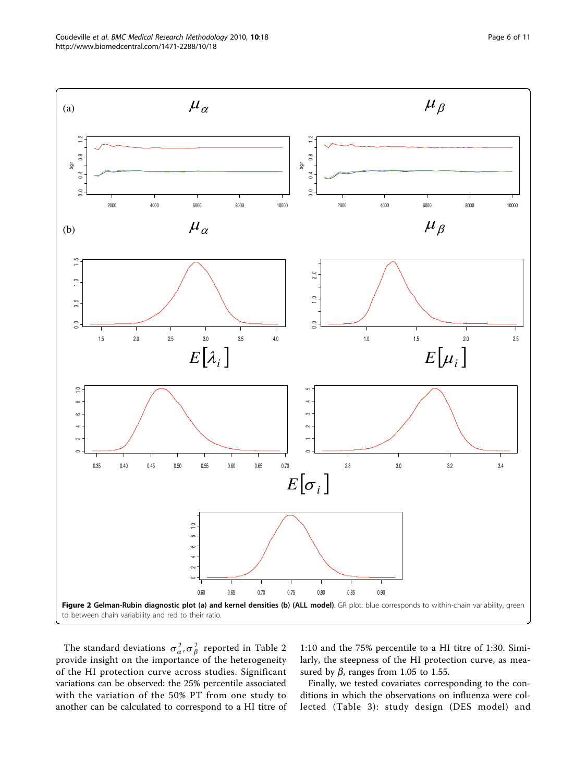<span id="page-5-0"></span>

The standard deviations  $\sigma_{\alpha}^2$ ,  $\sigma_{\beta}^2$  reported in Table [2](#page-6-0) provide insight on the importance of the heterogeneity of the HI protection curve across studies. Significant variations can be observed: the 25% percentile associated with the variation of the 50% PT from one study to another can be calculated to correspond to a HI titre of

1:10 and the 75% percentile to a HI titre of 1:30. Similarly, the steepness of the HI protection curve, as measured by  $\beta$ , ranges from 1.05 to 1.55.

Finally, we tested covariates corresponding to the conditions in which the observations on influenza were collected (Table [3](#page-7-0)): study design (DES model) and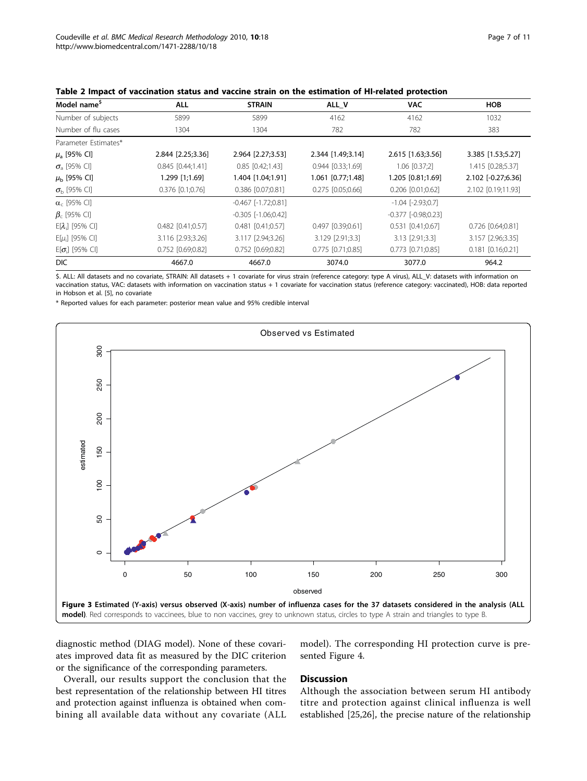| Model name <sup>s</sup>        | <b>ALL</b>            | <b>STRAIN</b>             | ALL_V                 | <b>VAC</b>              | <b>HOB</b>            |
|--------------------------------|-----------------------|---------------------------|-----------------------|-------------------------|-----------------------|
| Number of subjects             | 5899                  | 5899                      | 4162                  | 4162                    | 1032                  |
| Number of flu cases            | 1304                  | 1304                      | 782                   | 782                     | 383                   |
| Parameter Estimates*           |                       |                           |                       |                         |                       |
| $\mu$ <sub>a</sub> [95% CI]    | 2.844 [2.25;3.36]     | 2.964 [2.27;3.53]         | 2.344 [1.49;3.14]     | 2.615 [1.63;3.56]       | 3.385 [1.53;5.27]     |
| $\sigma$ <sub>a</sub> [95% CI] | $0.845$ $[0.44;1.41]$ | $0.85$ $[0.42;1.43]$      | $0.944$ $[0.33;1.69]$ | $1.06$ $[0.37;2]$       | 1.415 [0.28;5.37]     |
| $\mu_{\rm b}$ [95% CI]         | 1.299 [1;1.69]        | 1.404 [1.04;1.91]         | 1.061 [0.77;1.48]     | 1.205 [0.81;1.69]       | 2.102 [-0.27;6.36]    |
| $\sigma_{\rm b}$ [95% CI]      | $0.376$ $[0.1;0.76]$  | 0.386 [0.07;0.81]         | $0.275$ [0.05;0.66]   | $0.206$ $[0.01;0.62]$   | 2.102 [0.19;11.93]    |
| $\alpha_c$ [95% CI]            |                       | $-0.467$ [ $-1.72;0.81$ ] |                       | $-1.04$ $[-2.93;0.7]$   |                       |
| $\beta_c$ [95% CI]             |                       | $-0.305$ $[-1.06;0.42]$   |                       | $-0.377$ $[-0.98;0.23]$ |                       |
| $E[\lambda_i]$ [95% CI]        | $0.482$ $[0.41;0.57]$ | $0.481$ $[0.41;0.57]$     | $0.497$ $[0.39;0.61]$ | $0.531$ $[0.41;0.67]$   | $0.726$ $[0.64;0.81]$ |
| $E[\mu_i]$ [95% CI]            | 3.116 [2.93;3.26]     | 3.117 [2.94;3.26]         | 3.129 [2.91;3.3]      | 3.13 [2.91;3.3]         | 3.157 [2.96;3.35]     |
| $E[\sigma_i]$ [95% CI]         | 0.752 [0.69;0.82]     | 0.752 [0.69;0.82]         | 0.775 [0.71;0.85]     | $0.773$ $[0.71;0.85]$   | $0.181$ $[0.16;0.21]$ |
| DIC.                           | 4667.0                | 4667.0                    | 3074.0                | 3077.0                  | 964.2                 |

<span id="page-6-0"></span>Table 2 Impact of vaccination status and vaccine strain on the estimation of HI-related protection

\$. ALL: All datasets and no covariate, STRAIN: All datasets + 1 covariate for virus strain (reference category: type A virus), ALL\_V: datasets with information on vaccination status, VAC: datasets with information on vaccination status + 1 covariate for vaccination status (reference category: vaccinated), HOB: data reported in Hobson et al. [\[5\]](#page-9-0), no covariate

\* Reported values for each parameter: posterior mean value and 95% credible interval



diagnostic method (DIAG model). None of these covariates improved data fit as measured by the DIC criterion or the significance of the corresponding parameters.

Overall, our results support the conclusion that the best representation of the relationship between HI titres and protection against influenza is obtained when combining all available data without any covariate (ALL model). The corresponding HI protection curve is presented Figure [4](#page-7-0).

### **Discussion**

Although the association between serum HI antibody titre and protection against clinical influenza is well established [[25](#page-10-0),[26](#page-10-0)], the precise nature of the relationship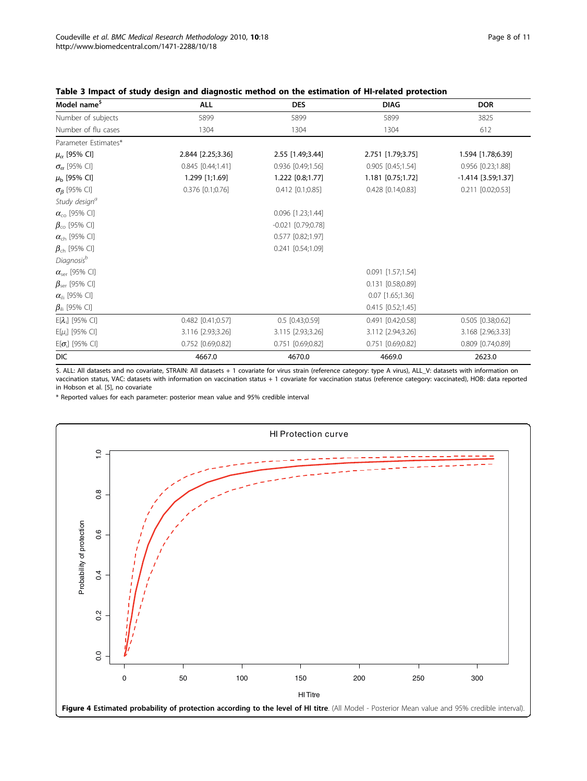| Model name <sup>\$</sup>       | ALL                   | <b>DES</b>           | <b>DIAG</b>           | <b>DOR</b>            |
|--------------------------------|-----------------------|----------------------|-----------------------|-----------------------|
| Number of subjects             | 5899                  | 5899                 | 5899                  | 3825                  |
| Number of flu cases            | 1304                  | 1304                 | 1304                  | 612                   |
| Parameter Estimates*           |                       |                      |                       |                       |
| $\mu_{\alpha}$ [95% CI]        | 2.844 [2.25;3.36]     | 2.55 [1.49;3.44]     | 2.751 [1.79;3.75]     | 1.594 [1.78;6.39]     |
| $\sigma_{\alpha}$ [95% CI]     | $0.845$ $[0.44;1.41]$ | 0.936 [0.49;1.56]    | $0.905$ $[0.45;1.54]$ | 0.956 [0.23;1.88]     |
| $\mu_{\rm b}$ [95% CI]         | 1.299 [1;1.69]        | 1.222 [0.8;1.77]     | 1.181 [0.75;1.72]     | $-1.414$ [3.59;1.37]  |
| $\sigma_{\beta}$ [95% CI]      | $0.376$ [0.1;0.76]    | $0.412$ [0.1;0.85]   | 0.428 [0.14;0.83]     | 0.211 [0.02;0.53]     |
| Study design <sup>a</sup>      |                       |                      |                       |                       |
| $\alpha_{\rm co}$ [95% CI]     |                       | 0.096 [1.23;1.44]    |                       |                       |
| $\beta_{\rm co}$ [95% CI]      |                       | $-0.021$ [0.79;0.78] |                       |                       |
| $\alpha_{ch}$ [95% CI]         |                       | 0.577 [0.82;1.97]    |                       |                       |
| $\beta_{\text{ch}}$ [95% CI]   |                       | 0.241 [0.54;1.09]    |                       |                       |
| Diagnosis <sup>b</sup>         |                       |                      |                       |                       |
| $\alpha_{\text{ser}}$ [95% CI] |                       |                      | 0.091 [1.57;1.54]     |                       |
| $\beta_{\text{ser}}$ [95% CI]  |                       |                      | 0.131 [0.58;0.89]     |                       |
| $\alpha_{\text{ili}}$ [95% CI] |                       |                      | $0.07$ [1.65;1.36]    |                       |
| $\beta_{\text{iii}}$ [95% CI]  |                       |                      | 0.415 [0.52;1.45]     |                       |
| $E[\lambda_i]$ [95% CI]        | $0.482$ [0.41;0.57]   | $0.5$ [0.43;0.59]    | 0.491 [0.42;0.58]     | $0.505$ $[0.38;0.62]$ |
| $E[\mu_i]$ [95% CI]            | 3.116 [2.93;3.26]     | 3.115 [2.93;3.26]    | 3.112 [2.94;3.26]     | 3.168 [2.96;3.33]     |
| $E[\sigma_i]$ [95% CI]         | 0.752 [0.69;0.82]     | 0.751 [0.69;0.82]    | 0.751 [0.69;0.82]     | 0.809 [0.74;0.89]     |
| DIC.                           | 4667.0                | 4670.0               | 4669.0                | 2623.0                |

<span id="page-7-0"></span>

|  | Table 3 Impact of study design and diagnostic method on the estimation of HI-related protection |  |
|--|-------------------------------------------------------------------------------------------------|--|
|--|-------------------------------------------------------------------------------------------------|--|

\$. ALL: All datasets and no covariate, STRAIN: All datasets + 1 covariate for virus strain (reference category: type A virus), ALL\_V: datasets with information on vaccination status, VAC: datasets with information on vaccination status + 1 covariate for vaccination status (reference category: vaccinated), HOB: data reported in Hobson et al. [\[5\]](#page-9-0), no covariate

\* Reported values for each parameter: posterior mean value and 95% credible interval

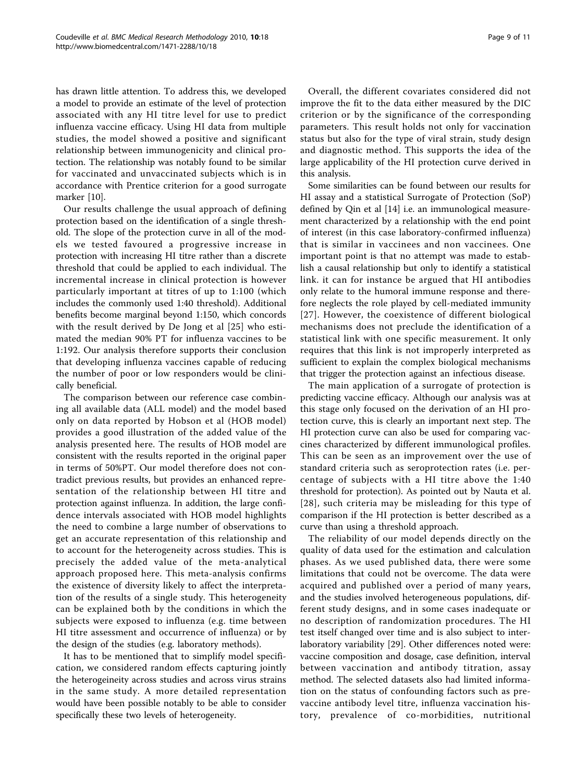has drawn little attention. To address this, we developed a model to provide an estimate of the level of protection associated with any HI titre level for use to predict influenza vaccine efficacy. Using HI data from multiple studies, the model showed a positive and significant relationship between immunogenicity and clinical protection. The relationship was notably found to be similar for vaccinated and unvaccinated subjects which is in accordance with Prentice criterion for a good surrogate marker [\[10\]](#page-9-0).

Our results challenge the usual approach of defining protection based on the identification of a single threshold. The slope of the protection curve in all of the models we tested favoured a progressive increase in protection with increasing HI titre rather than a discrete threshold that could be applied to each individual. The incremental increase in clinical protection is however particularly important at titres of up to 1:100 (which includes the commonly used 1:40 threshold). Additional benefits become marginal beyond 1:150, which concords with the result derived by De Jong et al [[25](#page-10-0)] who estimated the median 90% PT for influenza vaccines to be 1:192. Our analysis therefore supports their conclusion that developing influenza vaccines capable of reducing the number of poor or low responders would be clinically beneficial.

The comparison between our reference case combining all available data (ALL model) and the model based only on data reported by Hobson et al (HOB model) provides a good illustration of the added value of the analysis presented here. The results of HOB model are consistent with the results reported in the original paper in terms of 50%PT. Our model therefore does not contradict previous results, but provides an enhanced representation of the relationship between HI titre and protection against influenza. In addition, the large confidence intervals associated with HOB model highlights the need to combine a large number of observations to get an accurate representation of this relationship and to account for the heterogeneity across studies. This is precisely the added value of the meta-analytical approach proposed here. This meta-analysis confirms the existence of diversity likely to affect the interpretation of the results of a single study. This heterogeneity can be explained both by the conditions in which the subjects were exposed to influenza (e.g. time between HI titre assessment and occurrence of influenza) or by the design of the studies (e.g. laboratory methods).

It has to be mentioned that to simplify model specification, we considered random effects capturing jointly the heterogeineity across studies and across virus strains in the same study. A more detailed representation would have been possible notably to be able to consider specifically these two levels of heterogeneity.

Overall, the different covariates considered did not improve the fit to the data either measured by the DIC criterion or by the significance of the corresponding parameters. This result holds not only for vaccination status but also for the type of viral strain, study design and diagnostic method. This supports the idea of the large applicability of the HI protection curve derived in this analysis.

Some similarities can be found between our results for HI assay and a statistical Surrogate of Protection (SoP) defined by Qin et al [[14](#page-9-0)] i.e. an immunological measurement characterized by a relationship with the end point of interest (in this case laboratory-confirmed influenza) that is similar in vaccinees and non vaccinees. One important point is that no attempt was made to establish a causal relationship but only to identify a statistical link. it can for instance be argued that HI antibodies only relate to the humoral immune response and therefore neglects the role played by cell-mediated immunity [[27\]](#page-10-0). However, the coexistence of different biological mechanisms does not preclude the identification of a statistical link with one specific measurement. It only requires that this link is not improperly interpreted as sufficient to explain the complex biological mechanisms that trigger the protection against an infectious disease.

The main application of a surrogate of protection is predicting vaccine efficacy. Although our analysis was at this stage only focused on the derivation of an HI protection curve, this is clearly an important next step. The HI protection curve can also be used for comparing vaccines characterized by different immunological profiles. This can be seen as an improvement over the use of standard criteria such as seroprotection rates (i.e. percentage of subjects with a HI titre above the 1:40 threshold for protection). As pointed out by Nauta et al. [[28\]](#page-10-0), such criteria may be misleading for this type of comparison if the HI protection is better described as a curve than using a threshold approach.

The reliability of our model depends directly on the quality of data used for the estimation and calculation phases. As we used published data, there were some limitations that could not be overcome. The data were acquired and published over a period of many years, and the studies involved heterogeneous populations, different study designs, and in some cases inadequate or no description of randomization procedures. The HI test itself changed over time and is also subject to interlaboratory variability [[29](#page-10-0)]. Other differences noted were: vaccine composition and dosage, case definition, interval between vaccination and antibody titration, assay method. The selected datasets also had limited information on the status of confounding factors such as prevaccine antibody level titre, influenza vaccination history, prevalence of co-morbidities, nutritional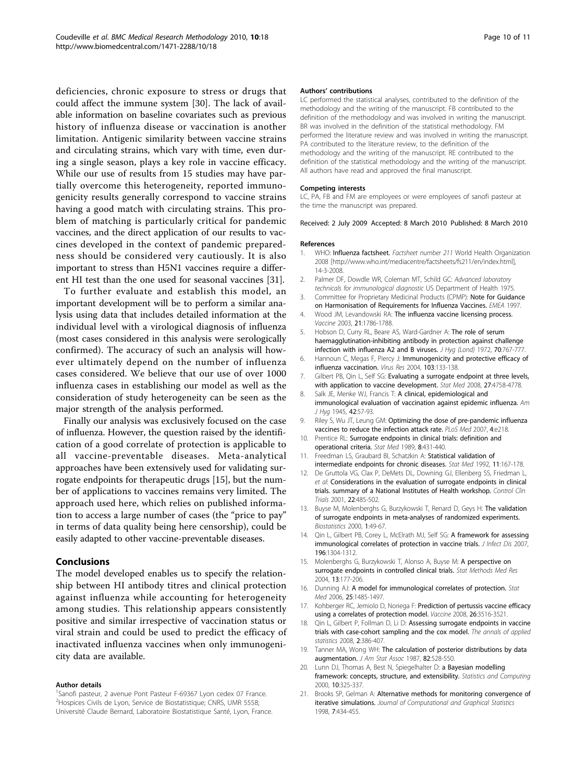<span id="page-9-0"></span>deficiencies, chronic exposure to stress or drugs that could affect the immune system [\[30\]](#page-10-0). The lack of available information on baseline covariates such as previous history of influenza disease or vaccination is another limitation. Antigenic similarity between vaccine strains and circulating strains, which vary with time, even during a single season, plays a key role in vaccine efficacy. While our use of results from 15 studies may have partially overcome this heterogeneity, reported immunogenicity results generally correspond to vaccine strains having a good match with circulating strains. This problem of matching is particularly critical for pandemic vaccines, and the direct application of our results to vaccines developed in the context of pandemic preparedness should be considered very cautiously. It is also important to stress than H5N1 vaccines require a different HI test than the one used for seasonal vaccines [[31\]](#page-10-0).

To further evaluate and establish this model, an important development will be to perform a similar analysis using data that includes detailed information at the individual level with a virological diagnosis of influenza (most cases considered in this analysis were serologically confirmed). The accuracy of such an analysis will however ultimately depend on the number of influenza cases considered. We believe that our use of over 1000 influenza cases in establishing our model as well as the consideration of study heterogeneity can be seen as the major strength of the analysis performed.

Finally our analysis was exclusively focused on the case of influenza. However, the question raised by the identification of a good correlate of protection is applicable to all vaccine-preventable diseases. Meta-analytical approaches have been extensively used for validating surrogate endpoints for therapeutic drugs [15], but the number of applications to vaccines remains very limited. The approach used here, which relies on published information to access a large number of cases (the "price to pay" in terms of data quality being here censorship), could be easily adapted to other vaccine-preventable diseases.

#### Conclusions

The model developed enables us to specify the relationship between HI antibody titres and clinical protection against influenza while accounting for heterogeneity among studies. This relationship appears consistently positive and similar irrespective of vaccination status or viral strain and could be used to predict the efficacy of inactivated influenza vaccines when only immunogenicity data are available.

#### Author details

<sup>1</sup>Sanofi pasteur, 2 avenue Pont Pasteur F-69367 Lyon cedex 07 France. <sup>2</sup>Hospices Civils de Lyon, Service de Biostatistique; CNRS, UMR 5558; Université Claude Bernard, Laboratoire Biostatistique Santé, Lyon, France.

#### Authors' contributions

LC performed the statistical analyses, contributed to the definition of the methodology and the writing of the manuscript. FB contributed to the definition of the methodology and was involved in writing the manuscript. BR was involved in the definition of the statistical methodology. FM performed the literature review and was involved in writing the manuscript. PA contributed to the literature review, to the definition of the methodology and the writing of the manuscript. RE contributed to the definition of the statistical methodology and the writing of the manuscript. All authors have read and approved the final manuscript.

#### Competing interests

LC, PA, FB and FM are employees or were employees of sanofi pasteur at the time the manuscript was prepared.

#### Received: 2 July 2009 Accepted: 8 March 2010 Published: 8 March 2010

#### References

- 1. WHO: Influenza factsheet. Factsheet number 211 World Health Organization 2008 [\[http://www.who.int/mediacentre/factsheets/fs211/en/index.html\]](http://www.who.int/mediacentre/factsheets/fs211/en/index.html), 14-3-2008.
- 2. Palmer DF, Dowdle WR, Coleman MT, Schild GC: Advanced laboratory technicals for immunological diagnostic US Department of Health 1975.
- 3. Committee for Proprietary Medicinal Products (CPMP): Note for Guidance on Harmonisation of Requirements for Influenza Vaccines. EMEA 1997.
- 4. Wood JM, Levandowski RA: [The influenza vaccine licensing process.](http://www.ncbi.nlm.nih.gov/pubmed/12686095?dopt=Abstract) Vaccine 2003, 21:1786-1788.
- 5. Hobson D, Curry RL, Beare AS, Ward-Gardner A: [The role of serum](http://www.ncbi.nlm.nih.gov/pubmed/4509641?dopt=Abstract) [haemagglutination-inhibiting antibody in protection against challenge](http://www.ncbi.nlm.nih.gov/pubmed/4509641?dopt=Abstract) [infection with influenza A2 and B viruses.](http://www.ncbi.nlm.nih.gov/pubmed/4509641?dopt=Abstract) J Hyg (Lond) 1972, 70:767-777.
- 6. Hannoun C, Megas F, Piercy J: [Immunogenicity and protective efficacy of](http://www.ncbi.nlm.nih.gov/pubmed/15163501?dopt=Abstract) [influenza vaccination.](http://www.ncbi.nlm.nih.gov/pubmed/15163501?dopt=Abstract) Virus Res 2004, 103:133-138.
- 7. Gilbert PB, Qin L, Self SG: [Evaluating a surrogate endpoint at three levels,](http://www.ncbi.nlm.nih.gov/pubmed/17979212?dopt=Abstract) [with application to vaccine development.](http://www.ncbi.nlm.nih.gov/pubmed/17979212?dopt=Abstract) Stat Med 2008, 27:4758-4778.
- 8. Salk JE, Menke WJ, Francis T: A clinical, epidemiological and immunological evaluation of vaccination against epidemic influenza. Am J Hyg 1945, 42:57-93.
- 9. Riley S, Wu JT, Leung GM: [Optimizing the dose of pre-pandemic influenza](http://www.ncbi.nlm.nih.gov/pubmed/17579511?dopt=Abstract) [vaccines to reduce the infection attack rate.](http://www.ncbi.nlm.nih.gov/pubmed/17579511?dopt=Abstract) PLoS Med 2007, 4:e218.
- 10. Prentice RL: [Surrogate endpoints in clinical trials: definition and](http://www.ncbi.nlm.nih.gov/pubmed/2727467?dopt=Abstract) [operational criteria.](http://www.ncbi.nlm.nih.gov/pubmed/2727467?dopt=Abstract) Stat Med 1989, 8:431-440.
- 11. Freedman LS, Graubard BI, Schatzkin A: [Statistical validation of](http://www.ncbi.nlm.nih.gov/pubmed/1579756?dopt=Abstract) [intermediate endpoints for chronic diseases.](http://www.ncbi.nlm.nih.gov/pubmed/1579756?dopt=Abstract) Stat Med 1992, 11:167-178.
- 12. De Gruttola VG, Clax P, DeMets DL, Downing GJ, Ellenberg SS, Friedman L, et al: [Considerations in the evaluation of surrogate endpoints in clinical](http://www.ncbi.nlm.nih.gov/pubmed/11578783?dopt=Abstract) [trials. summary of a National Institutes of Health workshop.](http://www.ncbi.nlm.nih.gov/pubmed/11578783?dopt=Abstract) Control Clin Trials 2001, 22:485-502.
- 13. Buyse M, Molenberghs G, Burzykowski T, Renard D, Geys H: [The validation](http://www.ncbi.nlm.nih.gov/pubmed/12933525?dopt=Abstract) [of surrogate endpoints in meta-analyses of randomized experiments.](http://www.ncbi.nlm.nih.gov/pubmed/12933525?dopt=Abstract) Biostatistics 2000, 1:49-67.
- 14. Qin L, Gilbert PB, Corey L, McElrath MJ, Self SG: [A framework for assessing](http://www.ncbi.nlm.nih.gov/pubmed/17922394?dopt=Abstract) [immunological correlates of protection in vaccine trials.](http://www.ncbi.nlm.nih.gov/pubmed/17922394?dopt=Abstract) J Infect Dis 2007, 196:1304-1312.
- 15. Molenberghs G, Burzykowski T, Alonso A, Buyse M: [A perspective on](http://www.ncbi.nlm.nih.gov/pubmed/15198486?dopt=Abstract) [surrogate endpoints in controlled clinical trials.](http://www.ncbi.nlm.nih.gov/pubmed/15198486?dopt=Abstract) Stat Methods Med Res 2004, 13:177-206.
- 16. Dunning AJ: [A model for immunological correlates of protection.](http://www.ncbi.nlm.nih.gov/pubmed/16158409?dopt=Abstract) Stat Med 2006, 25:1485-1497.
- 17. Kohberger RC, Jemiolo D, Noriega F: [Prediction of pertussis vaccine efficacy](http://www.ncbi.nlm.nih.gov/pubmed/18495303?dopt=Abstract) [using a correlates of protection model.](http://www.ncbi.nlm.nih.gov/pubmed/18495303?dopt=Abstract) Vaccine 2008, 26:3516-3521.
- 18. Qin L, Gilbert P, Follman D, Li D: [Assessing surrogate endpoints in vaccine](http://www.ncbi.nlm.nih.gov/pubmed/19079758?dopt=Abstract) [trials with case-cohort sampling and the cox model.](http://www.ncbi.nlm.nih.gov/pubmed/19079758?dopt=Abstract) The annals of applied statistics 2008, 2:386-407.
- 19. Tanner MA, Wong WH: The calculation of posterior distributions by data augmentation. J Am Stat Assoc 1987, 82:528-550.
- 20. Lunn DJ, Thomas A, Best N, Spiegelhalter D: a Bayesian modelling framework: concepts, structure, and extensibility. Statistics and Computing 2000, 10:325-337.
- 21. Brooks SP, Gelman A: Alternative methods for monitoring convergence of iterative simulations. Journal of Computational and Graphical Statistics 1998, 7:434-455.